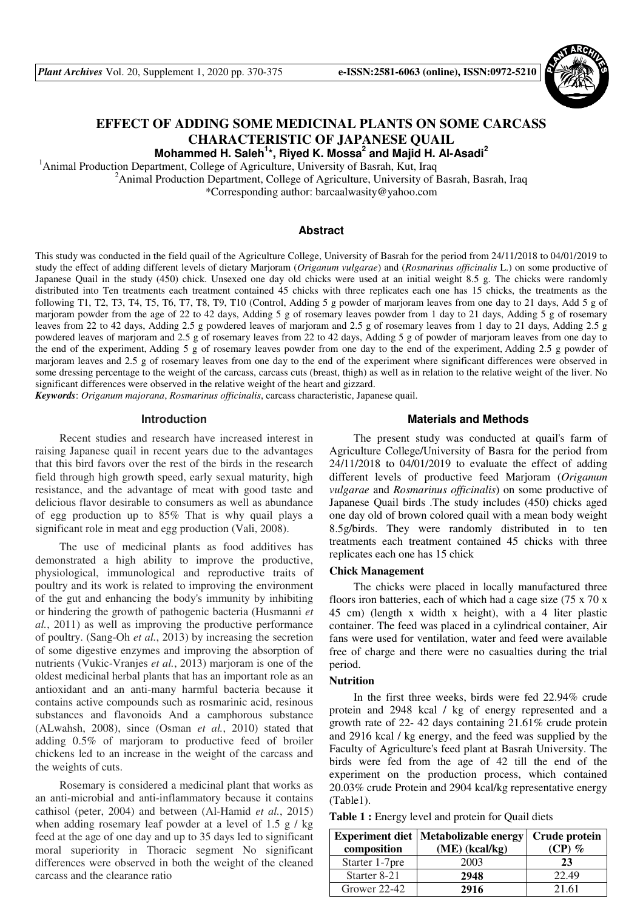

# **EFFECT OF ADDING SOME MEDICINAL PLANTS ON SOME CARCASS CHARACTERISTIC OF JAPANESE QUAIL**

**Mohammed H. Saleh<sup>1</sup> \*, Riyed K. Mossa<sup>2</sup> and Majid H. Al-Asadi<sup>2</sup>**

<sup>1</sup>Animal Production Department, College of Agriculture, University of Basrah, Kut, Iraq

<sup>2</sup>Animal Production Department, College of Agriculture, University of Basrah, Basrah, Iraq \*Corresponding author: barcaalwasity@yahoo.com

# **Abstract**

This study was conducted in the field quail of the Agriculture College, University of Basrah for the period from 24/11/2018 to 04/01/2019 to study the effect of adding different levels of dietary Marjoram (*Origanum vulgarae*) and (*Rosmarinus officinalis* L.) on some productive of Japanese Quail in the study (450) chick. Unsexed one day old chicks were used at an initial weight 8.5 g. The chicks were randomly distributed into Ten treatments each treatment contained 45 chicks with three replicates each one has 15 chicks, the treatments as the following T1, T2, T3, T4, T5, T6, T7, T8, T9, T10 (Control, Adding 5 g powder of marjoram leaves from one day to 21 days, Add 5 g of marjoram powder from the age of 22 to 42 days, Adding 5 g of rosemary leaves powder from 1 day to 21 days, Adding 5 g of rosemary leaves from 22 to 42 days, Adding 2.5 g powdered leaves of marjoram and 2.5 g of rosemary leaves from 1 day to 21 days, Adding 2.5 g powdered leaves of marjoram and 2.5 g of rosemary leaves from 22 to 42 days, Adding 5 g of powder of marjoram leaves from one day to the end of the experiment, Adding 5 g of rosemary leaves powder from one day to the end of the experiment, Adding 2.5 g powder of marjoram leaves and 2.5 g of rosemary leaves from one day to the end of the experiment where significant differences were observed in some dressing percentage to the weight of the carcass, carcass cuts (breast, thigh) as well as in relation to the relative weight of the liver. No significant differences were observed in the relative weight of the heart and gizzard.

*Keywords*: *Origanum majorana*, *Rosmarinus officinalis*, carcass characteristic, Japanese quail.

## **Introduction**

Recent studies and research have increased interest in raising Japanese quail in recent years due to the advantages that this bird favors over the rest of the birds in the research field through high growth speed, early sexual maturity, high resistance, and the advantage of meat with good taste and delicious flavor desirable to consumers as well as abundance of egg production up to 85% That is why quail plays a significant role in meat and egg production (Vali, 2008).

The use of medicinal plants as food additives has demonstrated a high ability to improve the productive, physiological, immunological and reproductive traits of poultry and its work is related to improving the environment of the gut and enhancing the body's immunity by inhibiting or hindering the growth of pathogenic bacteria (Husmanni *et al.*, 2011) as well as improving the productive performance of poultry. (Sang-Oh *et al.*, 2013) by increasing the secretion of some digestive enzymes and improving the absorption of nutrients (Vukic-Vranjes *et al.*, 2013) marjoram is one of the oldest medicinal herbal plants that has an important role as an antioxidant and an anti-many harmful bacteria because it contains active compounds such as rosmarinic acid, resinous substances and flavonoids And a camphorous substance (ALwahsh, 2008), since (Osman *et al.*, 2010) stated that adding 0.5% of marjoram to productive feed of broiler chickens led to an increase in the weight of the carcass and the weights of cuts.

Rosemary is considered a medicinal plant that works as an anti-microbial and anti-inflammatory because it contains cathisol (peter, 2004) and between (Al-Hamid *et al.*, 2015) when adding rosemary leaf powder at a level of 1.5 g / kg feed at the age of one day and up to 35 days led to significant moral superiority in Thoracic segment No significant differences were observed in both the weight of the cleaned carcass and the clearance ratio

### **Materials and Methods**

The present study was conducted at quail's farm of Agriculture College/University of Basra for the period from 24/11/2018 to 04/01/2019 to evaluate the effect of adding different levels of productive feed Marjoram (*Origanum vulgarae* and *Rosmarinus officinalis*) on some productive of Japanese Quail birds .The study includes (450) chicks aged one day old of brown colored quail with a mean body weight 8.5g/birds. They were randomly distributed in to ten treatments each treatment contained 45 chicks with three replicates each one has 15 chick

#### **Chick Management**

The chicks were placed in locally manufactured three floors iron batteries, each of which had a cage size (75 x 70 x 45 cm) (length x width x height), with a 4 liter plastic container. The feed was placed in a cylindrical container, Air fans were used for ventilation, water and feed were available free of charge and there were no casualties during the trial period.

# **Nutrition**

In the first three weeks, birds were fed 22.94% crude protein and 2948 kcal / kg of energy represented and a growth rate of 22- 42 days containing 21.61% crude protein and 2916 kcal / kg energy, and the feed was supplied by the Faculty of Agriculture's feed plant at Basrah University. The birds were fed from the age of 42 till the end of the experiment on the production process, which contained 20.03% crude Protein and 2904 kcal/kg representative energy (Table1).

Table 1 : Energy level and protein for Quail diets

| composition    | <b>Experiment diet   Metabolizable energy</b><br>$(ME)$ (kcal/kg) | Crude protein<br>$(CP)$ % |  |
|----------------|-------------------------------------------------------------------|---------------------------|--|
| Starter 1-7pre | 2003                                                              | 23                        |  |
| Starter 8-21   | 2948                                                              | 22.49                     |  |
| Grower 22-42   | 2916                                                              | 21.61                     |  |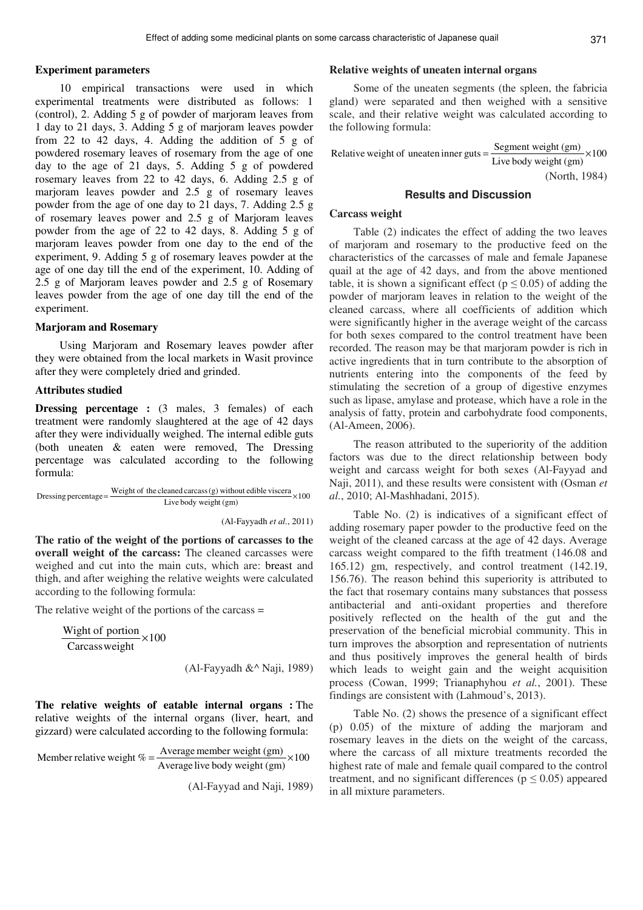#### **Experiment parameters**

10 empirical transactions were used in which experimental treatments were distributed as follows: 1 (control), 2. Adding 5 g of powder of marjoram leaves from 1 day to 21 days, 3. Adding 5 g of marjoram leaves powder from 22 to 42 days, 4. Adding the addition of 5 g of powdered rosemary leaves of rosemary from the age of one day to the age of 21 days, 5. Adding 5 g of powdered rosemary leaves from 22 to 42 days, 6. Adding 2.5 g of marjoram leaves powder and 2.5 g of rosemary leaves powder from the age of one day to 21 days, 7. Adding 2.5 g of rosemary leaves power and 2.5 g of Marjoram leaves powder from the age of 22 to 42 days, 8. Adding 5 g of marjoram leaves powder from one day to the end of the experiment, 9. Adding 5 g of rosemary leaves powder at the age of one day till the end of the experiment, 10. Adding of 2.5 g of Marjoram leaves powder and 2.5 g of Rosemary leaves powder from the age of one day till the end of the experiment.

#### **Marjoram and Rosemary**

Using Marjoram and Rosemary leaves powder after they were obtained from the local markets in Wasit province after they were completely dried and grinded.

#### **Attributes studied**

**Dressing percentage :** (3 males, 3 females) of each treatment were randomly slaughtered at the age of 42 days after they were individually weighed. The internal edible guts (both uneaten & eaten were removed, The Dressing percentage was calculated according to the following formula:

Dressing percentage =  $\frac{\text{Weight of the cleaned car} \cdot \text{seconds (g) without edible viscera}}{100} \times 100$ Live body weight (gm)

(Al-Fayyadh *et al.*, 2011)

**The ratio of the weight of the portions of carcasses to the overall weight of the carcass:** The cleaned carcasses were weighed and cut into the main cuts, which are: breast and thigh, and after weighing the relative weights were calculated according to the following formula:

The relative weight of the portions of the carcass =

100 Carcassweight Wight of portion  $\times 100$ 

(Al-Fayyadh &^ Naji, 1989)

**The relative weights of eatable internal organs :** The relative weights of the internal organs (liver, heart, and gizzard) were calculated according to the following formula:

Member relative weight 
$$
\% = \frac{\text{Average member weight (gm)}}{\text{Average live body weight (gm)}} \times 100
$$

(Al-Fayyad and Naji, 1989)

#### **Relative weights of uneaten internal organs**

Some of the uneaten segments (the spleen, the fabricia gland) were separated and then weighed with a sensitive scale, and their relative weight was calculated according to the following formula:

Relative weight of uneaten inner guts = 
$$
\frac{\text{Segment weight (gm)}}{\text{Live body weight (gm)}} \times 100
$$
 (North, 1984)

# **Results and Discussion**

### **Carcass weight**

Table (2) indicates the effect of adding the two leaves of marjoram and rosemary to the productive feed on the characteristics of the carcasses of male and female Japanese quail at the age of 42 days, and from the above mentioned table, it is shown a significant effect ( $p \le 0.05$ ) of adding the powder of marjoram leaves in relation to the weight of the cleaned carcass, where all coefficients of addition which were significantly higher in the average weight of the carcass for both sexes compared to the control treatment have been recorded. The reason may be that marjoram powder is rich in active ingredients that in turn contribute to the absorption of nutrients entering into the components of the feed by stimulating the secretion of a group of digestive enzymes such as lipase, amylase and protease, which have a role in the analysis of fatty, protein and carbohydrate food components, (Al-Ameen, 2006).

The reason attributed to the superiority of the addition factors was due to the direct relationship between body weight and carcass weight for both sexes (Al-Fayyad and Naji, 2011), and these results were consistent with (Osman *et al.*, 2010; Al-Mashhadani, 2015).

Table No. (2) is indicatives of a significant effect of adding rosemary paper powder to the productive feed on the weight of the cleaned carcass at the age of 42 days. Average carcass weight compared to the fifth treatment (146.08 and 165.12) gm, respectively, and control treatment (142.19, 156.76). The reason behind this superiority is attributed to the fact that rosemary contains many substances that possess antibacterial and anti-oxidant properties and therefore positively reflected on the health of the gut and the preservation of the beneficial microbial community. This in turn improves the absorption and representation of nutrients and thus positively improves the general health of birds which leads to weight gain and the weight acquisition process (Cowan, 1999; Trianaphyhou *et al.*, 2001). These findings are consistent with (Lahmoud's, 2013).

Table No. (2) shows the presence of a significant effect (p) 0.05) of the mixture of adding the marjoram and rosemary leaves in the diets on the weight of the carcass, where the carcass of all mixture treatments recorded the highest rate of male and female quail compared to the control treatment, and no significant differences ( $p \leq 0.05$ ) appeared in all mixture parameters.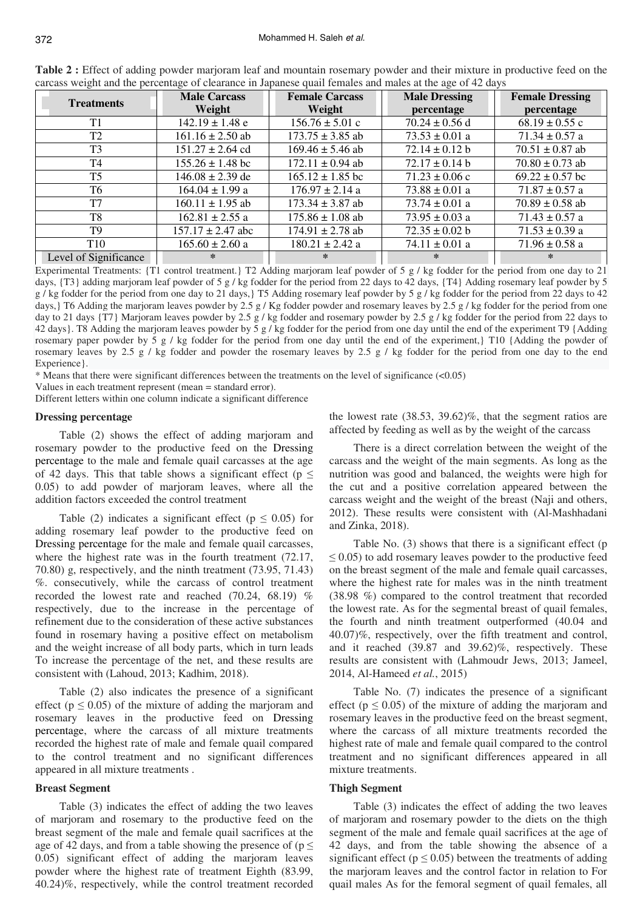| <b>Treatments</b>     | <b>Male Carcass</b><br>Weight | <b>Female Carcass</b><br>Weight | <b>Male Dressing</b><br>percentage | <b>Female Dressing</b> |
|-----------------------|-------------------------------|---------------------------------|------------------------------------|------------------------|
|                       |                               |                                 |                                    | percentage             |
| T1                    | $142.19 \pm 1.48$ e           | $156.76 \pm 5.01$ c             | $70.24 \pm 0.56$ d                 | $68.19 \pm 0.55$ c     |
| T <sub>2</sub>        | $161.16 \pm 2.50$ ab          | $173.75 \pm 3.85$ ab            | $73.53 \pm 0.01$ a                 | $71.34 \pm 0.57$ a     |
| T <sub>3</sub>        | $151.27 \pm 2.64$ cd          | $169.46 \pm 5.46$ ab            | $72.14 \pm 0.12$ b                 | $70.51 \pm 0.87$ ab    |
| T4                    | $155.26 \pm 1.48$ bc          | $172.11 \pm 0.94$ ab            | $72.17 \pm 0.14$ b                 | $70.80 \pm 0.73$ ab    |
| T <sub>5</sub>        | $146.08 \pm 2.39$ de          | $165.12 \pm 1.85$ bc            | $71.23 \pm 0.06$ c                 | $69.22 \pm 0.57$ bc    |
| T6                    | $164.04 \pm 1.99$ a           | $176.97 \pm 2.14$ a             | $73.88 \pm 0.01$ a                 | $71.87 \pm 0.57$ a     |
| T <sub>7</sub>        | $160.11 \pm 1.95$ ab          | $173.34 \pm 3.87$ ab            | 73.74 $\pm$ 0.01 a                 | $70.89 \pm 0.58$ ab    |
| T <sub>8</sub>        | $162.81 \pm 2.55$ a           | $175.86 \pm 1.08$ ab            | $73.95 \pm 0.03$ a                 | $71.43 \pm 0.57$ a     |
| T <sub>9</sub>        | $157.17 \pm 2.47$ abc         | $174.91 \pm 2.78$ ab            | $72.35 \pm 0.02$ b                 | $71.53 \pm 0.39$ a     |
| <b>T10</b>            | $165.60 \pm 2.60$ a           | $180.21 \pm 2.42$ a             | $74.11 \pm 0.01$ a                 | $71.96 \pm 0.58$ a     |
| Level of Significance | *                             | ⋇                               | ∗                                  | ⋇                      |

**Table 2 :** Effect of adding powder marjoram leaf and mountain rosemary powder and their mixture in productive feed on the carcass weight and the percentage of clearance in Japanese quail females and males at the age of 42 days

Experimental Treatments: {T1 control treatment.} T2 Adding marjoram leaf powder of 5 g / kg fodder for the period from one day to 21 days, {T3} adding marjoram leaf powder of 5 g / kg fodder for the period from 22 days to 42 days, {T4} Adding rosemary leaf powder by 5  $g$  / kg fodder for the period from one day to 21 days, T5 Adding rosemary leaf powder by 5 g / kg fodder for the period from 22 days to 42 days, T6 Adding the marjoram leaves powder by 2.5 g / Kg fodder powder and rosemary leaves by 2.5 g / kg fodder for the period from one day to 21 days {T7} Marjoram leaves powder by 2.5 g / kg fodder and rosemary powder by 2.5 g / kg fodder for the period from 22 days to 42 days}. T8 Adding the marjoram leaves powder by 5 g / kg fodder for the period from one day until the end of the experiment T9 {Adding rosemary paper powder by 5 g / kg fodder for the period from one day until the end of the experiment,} T10 {Adding the powder of rosemary leaves by 2.5 g / kg fodder and powder the rosemary leaves by 2.5 g / kg fodder for the period from one day to the end Experience }.

\* Means that there were significant differences between the treatments on the level of significance (<0.05)

Values in each treatment represent (mean = standard error).

Different letters within one column indicate a significant difference

# **Dressing percentage**

Table (2) shows the effect of adding marjoram and rosemary powder to the productive feed on the Dressing percentage to the male and female quail carcasses at the age of 42 days. This that table shows a significant effect ( $p \leq$ 0.05) to add powder of marjoram leaves, where all the addition factors exceeded the control treatment

Table (2) indicates a significant effect ( $p \le 0.05$ ) for adding rosemary leaf powder to the productive feed on Dressing percentage for the male and female quail carcasses, where the highest rate was in the fourth treatment  $(72.17,$ 70.80) g, respectively, and the ninth treatment (73.95, 71.43) %. consecutively, while the carcass of control treatment recorded the lowest rate and reached (70.24, 68.19) % respectively, due to the increase in the percentage of refinement due to the consideration of these active substances found in rosemary having a positive effect on metabolism and the weight increase of all body parts, which in turn leads To increase the percentage of the net, and these results are consistent with (Lahoud, 2013; Kadhim, 2018).

Table (2) also indicates the presence of a significant effect ( $p \le 0.05$ ) of the mixture of adding the marjoram and rosemary leaves in the productive feed on Dressing percentage, where the carcass of all mixture treatments recorded the highest rate of male and female quail compared to the control treatment and no significant differences appeared in all mixture treatments .

# **Breast Segment**

Table (3) indicates the effect of adding the two leaves of marjoram and rosemary to the productive feed on the breast segment of the male and female quail sacrifices at the age of 42 days, and from a table showing the presence of ( $p \leq$ 0.05) significant effect of adding the marjoram leaves powder where the highest rate of treatment Eighth (83.99, 40.24)%, respectively, while the control treatment recorded the lowest rate (38.53, 39.62)%, that the segment ratios are affected by feeding as well as by the weight of the carcass

There is a direct correlation between the weight of the carcass and the weight of the main segments. As long as the nutrition was good and balanced, the weights were high for the cut and a positive correlation appeared between the carcass weight and the weight of the breast (Naji and others, 2012). These results were consistent with (Al-Mashhadani and Zinka, 2018).

Table No. (3) shows that there is a significant effect (p  $\leq$  0.05) to add rosemary leaves powder to the productive feed on the breast segment of the male and female quail carcasses, where the highest rate for males was in the ninth treatment (38.98 %) compared to the control treatment that recorded the lowest rate. As for the segmental breast of quail females, the fourth and ninth treatment outperformed (40.04 and 40.07)%, respectively, over the fifth treatment and control, and it reached (39.87 and 39.62)%, respectively. These results are consistent with (Lahmoudr Jews, 2013; Jameel, 2014, Al-Hameed *et al.*, 2015)

Table No. (7) indicates the presence of a significant effect ( $p \le 0.05$ ) of the mixture of adding the marjoram and rosemary leaves in the productive feed on the breast segment, where the carcass of all mixture treatments recorded the highest rate of male and female quail compared to the control treatment and no significant differences appeared in all mixture treatments.

### **Thigh Segment**

Table (3) indicates the effect of adding the two leaves of marjoram and rosemary powder to the diets on the thigh segment of the male and female quail sacrifices at the age of 42 days, and from the table showing the absence of a significant effect ( $p \le 0.05$ ) between the treatments of adding the marjoram leaves and the control factor in relation to For quail males As for the femoral segment of quail females, all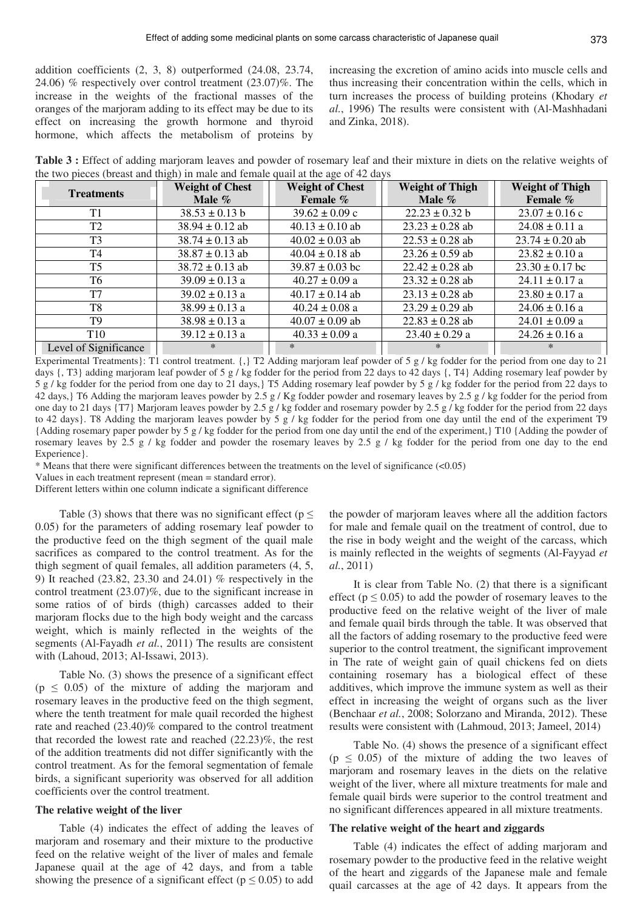addition coefficients (2, 3, 8) outperformed (24.08, 23.74, 24.06) % respectively over control treatment (23.07)%. The increase in the weights of the fractional masses of the oranges of the marjoram adding to its effect may be due to its effect on increasing the growth hormone and thyroid hormone, which affects the metabolism of proteins by

increasing the excretion of amino acids into muscle cells and thus increasing their concentration within the cells, which in turn increases the process of building proteins (Khodary *et al.*, 1996) The results were consistent with (Al-Mashhadani and Zinka, 2018).

**Table 3 :** Effect of adding marjoram leaves and powder of rosemary leaf and their mixture in diets on the relative weights of the two pieces (breast and thigh) in male and female quail at the age of 42 days

| <b>Treatments</b>     | <b>Weight of Chest</b><br>Male $\%$ | <b>Weight of Chest</b><br>Female % | <b>Weight of Thigh</b><br>Male $\%$ | <b>Weight of Thigh</b><br>Female % |
|-----------------------|-------------------------------------|------------------------------------|-------------------------------------|------------------------------------|
| T1                    | $38.53 \pm 0.13$ b                  | $39.62 \pm 0.09$ c                 | $22.23 \pm 0.32$ b                  | $23.07 \pm 0.16$ c                 |
| T <sub>2</sub>        | $38.94 \pm 0.12$ ab                 | $40.13 \pm 0.10$ ab                | $23.23 \pm 0.28$ ab                 | $24.08 \pm 0.11$ a                 |
| T <sub>3</sub>        | $38.74 \pm 0.13$ ab                 | $40.02 \pm 0.03$ ab                | $22.53 \pm 0.28$ ab                 | $23.74 \pm 0.20$ ab                |
| T <sub>4</sub>        | $38.87 \pm 0.13$ ab                 | $40.04 \pm 0.18$ ab                | $23.26 \pm 0.59$ ab                 | $23.82 \pm 0.10$ a                 |
| T <sub>5</sub>        | $38.72 \pm 0.13$ ab                 | $39.87 \pm 0.03$ bc                | $22.42 \pm 0.28$ ab                 | $23.30 \pm 0.17$ bc                |
| T6                    | $39.09 \pm 0.13$ a                  | $40.27 \pm 0.09$ a                 | $23.32 \pm 0.28$ ab                 | $24.11 \pm 0.17$ a                 |
| T7                    | $39.02 \pm 0.13$ a                  | $40.17 \pm 0.14$ ab                | $23.13 \pm 0.28$ ab                 | $23.80 \pm 0.17$ a                 |
| T8                    | $38.99 \pm 0.13$ a                  | $40.24 \pm 0.08$ a                 | $23.29 \pm 0.29$ ab                 | $24.06 \pm 0.16$ a                 |
| T9                    | $38.98 \pm 0.13$ a                  | $40.07 \pm 0.09$ ab                | $22.83 \pm 0.28$ ab                 | $24.01 \pm 0.09$ a                 |
| T <sub>10</sub>       | $39.12 \pm 0.13$ a                  | $40.33 \pm 0.09$ a                 | $23.40 \pm 0.29$ a                  | $24.26 \pm 0.16$ a                 |
| Level of Significance | ∗                                   | $\ast$                             | ∗                                   | $\ast$                             |

Experimental Treatments}: T1 control treatment. {,} T2 Adding marjoram leaf powder of 5 g / kg fodder for the period from one day to 21 days {, T3} adding marjoram leaf powder of 5 g / kg fodder for the period from 22 days to 42 days {, T4} Adding rosemary leaf powder by 5 g / kg fodder for the period from one day to 21 days,} T5 Adding rosemary leaf powder by 5 g / kg fodder for the period from 22 days to 42 days, T6 Adding the marjoram leaves powder by 2.5 g / Kg fodder powder and rosemary leaves by 2.5 g / kg fodder for the period from one day to 21 days {T7} Marjoram leaves powder by 2.5 g / kg fodder and rosemary powder by 2.5 g / kg fodder for the period from 22 days to 42 days}. T8 Adding the marjoram leaves powder by 5 g / kg fodder for the period from one day until the end of the experiment T9 {Adding rosemary paper powder by 5 g / kg fodder for the period from one day until the end of the experiment,} T10 {Adding the powder of rosemary leaves by 2.5 g / kg fodder and powder the rosemary leaves by 2.5 g / kg fodder for the period from one day to the end Experience }.

\* Means that there were significant differences between the treatments on the level of significance (<0.05)

Values in each treatment represent (mean = standard error).

Different letters within one column indicate a significant difference

Table (3) shows that there was no significant effect ( $p \leq$ 0.05) for the parameters of adding rosemary leaf powder to the productive feed on the thigh segment of the quail male sacrifices as compared to the control treatment. As for the thigh segment of quail females, all addition parameters (4, 5, 9) It reached (23.82, 23.30 and 24.01) % respectively in the control treatment (23.07)%, due to the significant increase in some ratios of of birds (thigh) carcasses added to their marjoram flocks due to the high body weight and the carcass weight, which is mainly reflected in the weights of the segments (Al-Fayadh *et al.*, 2011) The results are consistent with (Lahoud, 2013; Al-Issawi, 2013).

Table No. (3) shows the presence of a significant effect  $(p \leq 0.05)$  of the mixture of adding the marjoram and rosemary leaves in the productive feed on the thigh segment, where the tenth treatment for male quail recorded the highest rate and reached (23.40)% compared to the control treatment that recorded the lowest rate and reached (22.23)%, the rest of the addition treatments did not differ significantly with the control treatment. As for the femoral segmentation of female birds, a significant superiority was observed for all addition coefficients over the control treatment.

# **The relative weight of the liver**

Table (4) indicates the effect of adding the leaves of marjoram and rosemary and their mixture to the productive feed on the relative weight of the liver of males and female Japanese quail at the age of 42 days, and from a table showing the presence of a significant effect ( $p \le 0.05$ ) to add the powder of marjoram leaves where all the addition factors for male and female quail on the treatment of control, due to the rise in body weight and the weight of the carcass, which is mainly reflected in the weights of segments (Al-Fayyad *et al.*, 2011)

It is clear from Table No. (2) that there is a significant effect ( $p \le 0.05$ ) to add the powder of rosemary leaves to the productive feed on the relative weight of the liver of male and female quail birds through the table. It was observed that all the factors of adding rosemary to the productive feed were superior to the control treatment, the significant improvement in The rate of weight gain of quail chickens fed on diets containing rosemary has a biological effect of these additives, which improve the immune system as well as their effect in increasing the weight of organs such as the liver (Benchaar *et al.*, 2008; Solorzano and Miranda, 2012). These results were consistent with (Lahmoud, 2013; Jameel, 2014)

Table No. (4) shows the presence of a significant effect  $(p \leq 0.05)$  of the mixture of adding the two leaves of marjoram and rosemary leaves in the diets on the relative weight of the liver, where all mixture treatments for male and female quail birds were superior to the control treatment and no significant differences appeared in all mixture treatments.

#### **The relative weight of the heart and ziggards**

Table (4) indicates the effect of adding marjoram and rosemary powder to the productive feed in the relative weight of the heart and ziggards of the Japanese male and female quail carcasses at the age of 42 days. It appears from the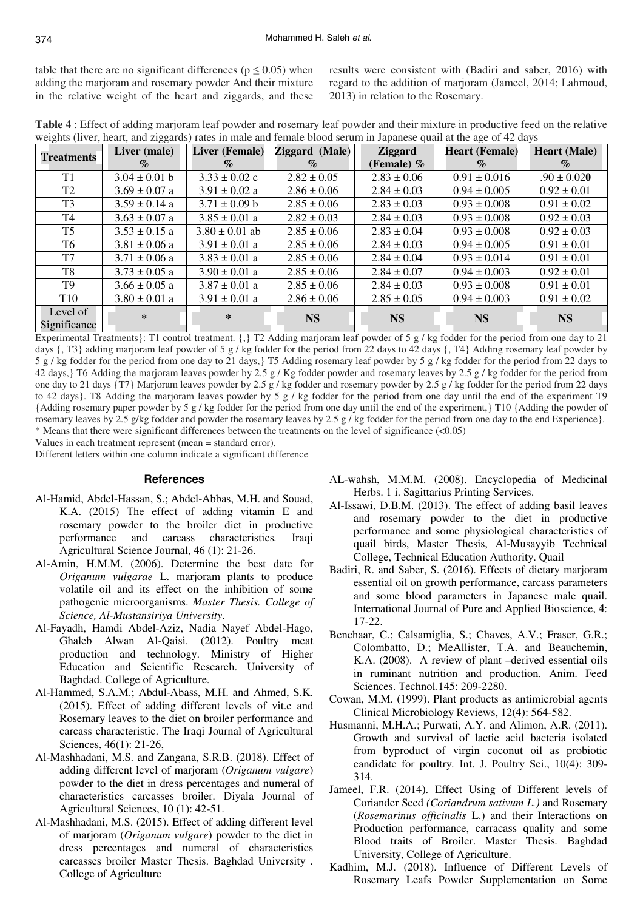table that there are no significant differences ( $p \le 0.05$ ) when adding the marjoram and rosemary powder And their mixture in the relative weight of the heart and ziggards, and these results were consistent with (Badiri and saber, 2016) with regard to the addition of marjoram (Jameel, 2014; Lahmoud, 2013) in relation to the Rosemary.

**Table 4** : Effect of adding marjoram leaf powder and rosemary leaf powder and their mixture in productive feed on the relative weights (liver, heart, and ziggards) rates in male and female blood serum in Japanese quail at the age of 42 days

| <b>Treatments</b>        | Liver (male)      | <b>Liver (Female)</b> | Ziggard (Male)  | <b>Ziggard</b>  | <b>Heart (Female)</b> | <b>Heart</b> (Male)         |
|--------------------------|-------------------|-----------------------|-----------------|-----------------|-----------------------|-----------------------------|
|                          | $\%$              | $\mathcal{O}_0$       | $\mathcal{O}_0$ | (Female) $%$    | $\%$                  | $\mathcal{O}_{\mathcal{O}}$ |
| T1                       | $3.04 \pm 0.01$ b | $3.33 \pm 0.02$ c     | $2.82 \pm 0.05$ | $2.83 \pm 0.06$ | $0.91 \pm 0.016$      | $.90 \pm 0.020$             |
| T <sub>2</sub>           | $3.69 \pm 0.07$ a | $3.91 \pm 0.02$ a     | $2.86 \pm 0.06$ | $2.84 \pm 0.03$ | $0.94 \pm 0.005$      | $0.92 \pm 0.01$             |
| T <sub>3</sub>           | $3.59 \pm 0.14$ a | $3.71 \pm 0.09$ b     | $2.85 \pm 0.06$ | $2.83 \pm 0.03$ | $0.93 \pm 0.008$      | $0.91 \pm 0.02$             |
| T4                       | $3.63 \pm 0.07$ a | $3.85 \pm 0.01$ a     | $2.82 \pm 0.03$ | $2.84 \pm 0.03$ | $0.93 \pm 0.008$      | $0.92 \pm 0.03$             |
| T5                       | $3.53 \pm 0.15$ a | $3.80 \pm 0.01$ ab    | $2.85 \pm 0.06$ | $2.83 \pm 0.04$ | $0.93 \pm 0.008$      | $0.92 \pm 0.03$             |
| T6                       | $3.81 \pm 0.06$ a | $3.91 \pm 0.01$ a     | $2.85 \pm 0.06$ | $2.84 \pm 0.03$ | $0.94 \pm 0.005$      | $0.91 \pm 0.01$             |
| T7                       | $3.71 \pm 0.06$ a | $3.83 \pm 0.01$ a     | $2.85 \pm 0.06$ | $2.84 \pm 0.04$ | $0.93 \pm 0.014$      | $0.91 \pm 0.01$             |
| T8                       | $3.73 \pm 0.05$ a | $3.90 \pm 0.01$ a     | $2.85 \pm 0.06$ | $2.84 \pm 0.07$ | $0.94 \pm 0.003$      | $0.92 \pm 0.01$             |
| T9                       | $3.66 \pm 0.05$ a | $3.87 \pm 0.01$ a     | $2.85 \pm 0.06$ | $2.84 \pm 0.03$ | $0.93 \pm 0.008$      | $0.91 \pm 0.01$             |
| <b>T10</b>               | $3.80 \pm 0.01$ a | $3.91 \pm 0.01$ a     | $2.86 \pm 0.06$ | $2.85 \pm 0.05$ | $0.94 \pm 0.003$      | $0.91 \pm 0.02$             |
| Level of<br>Significance | $\ast$            | ∗                     | <b>NS</b>       | <b>NS</b>       | <b>NS</b>             | <b>NS</b>                   |

Experimental Treatments}: T1 control treatment. {,} T2 Adding marjoram leaf powder of 5 g / kg fodder for the period from one day to 21 days {, T3} adding marjoram leaf powder of 5 g / kg fodder for the period from 22 days to 42 days {, T4} Adding rosemary leaf powder by 5 g / kg fodder for the period from one day to 21 days,} T5 Adding rosemary leaf powder by 5 g / kg fodder for the period from 22 days to 42 days,  $\frac{1}{2}$  T6 Adding the marjoram leaves powder by 2.5 g / Kg fodder powder and rosemary leaves by 2.5 g / kg fodder for the period from one day to 21 days {T7} Marjoram leaves powder by 2.5 g / kg fodder and rosemary powder by 2.5 g / kg fodder for the period from 22 days to 42 days}. T8 Adding the marjoram leaves powder by 5 g / kg fodder for the period from one day until the end of the experiment T9 {Adding rosemary paper powder by 5 g / kg fodder for the period from one day until the end of the experiment,} T10 {Adding the powder of rosemary leaves by 2.5 g/kg fodder and powder the rosemary leaves by 2.5 g / kg fodder for the period from one day to the end Experience}. \* Means that there were significant differences between the treatments on the level of significance (<0.05)

Values in each treatment represent (mean = standard error).

Different letters within one column indicate a significant difference

#### **References**

- Al-Hamid, Abdel-Hassan, S.; Abdel-Abbas, M.H. and Souad, K.A. (2015) The effect of adding vitamin E and rosemary powder to the broiler diet in productive performance and carcass characteristics*.* Iraqi Agricultural Science Journal, 46 (1): 21-26.
- Al-Amin, H.M.M. (2006). Determine the best date for *Origanum vulgarae* L. marjoram plants to produce volatile oil and its effect on the inhibition of some pathogenic microorganisms. *Master Thesis. College of Science, Al-Mustansiriya University*.
- Al-Fayadh, Hamdi Abdel-Aziz, Nadia Nayef Abdel-Hago, Ghaleb Alwan Al-Qaisi. (2012). Poultry meat production and technology. Ministry of Higher Education and Scientific Research. University of Baghdad. College of Agriculture.
- Al-Hammed, S.A.M.; Abdul-Abass, M.H. and Ahmed, S.K. (2015). Effect of adding different levels of vit.e and Rosemary leaves to the diet on broiler performance and carcass characteristic. The Iraqi Journal of Agricultural Sciences, 46(1): 21-26,
- Al-Mashhadani, M.S. and Zangana, S.R.B. (2018). Effect of adding different level of marjoram (*Origanum vulgare*) powder to the diet in dress percentages and numeral of characteristics carcasses broiler. Diyala Journal of Agricultural Sciences, 10 (1): 42-51.
- Al-Mashhadani, M.S. (2015). Effect of adding different level of marjoram (*Origanum vulgare*) powder to the diet in dress percentages and numeral of characteristics carcasses broiler Master Thesis. Baghdad University . College of Agriculture
- AL-wahsh, M.M.M. (2008). Encyclopedia of Medicinal Herbs. 1 i. Sagittarius Printing Services.
- Al-Issawi, D.B.M. (2013). The effect of adding basil leaves and rosemary powder to the diet in productive performance and some physiological characteristics of quail birds, Master Thesis, Al-Musayyib Technical College, Technical Education Authority. Quail
- Badiri, R. and Saber, S. (2016). Effects of dietary marjoram essential oil on growth performance, carcass parameters and some blood parameters in Japanese male quail. International Journal of Pure and Applied Bioscience, **4**: 17-22.
- Benchaar, C.; Calsamiglia, S.; Chaves, A.V.; Fraser, G.R.; Colombatto, D.; MeAllister, T.A. and Beauchemin, K.A. (2008). A review of plant –derived essential oils in ruminant nutrition and production. Anim. Feed Sciences. Technol.145: 209-2280.
- Cowan, M.M. (1999). Plant products as antimicrobial agents Clinical Microbiology Reviews, 12(4): 564-582.
- Husmanni, M.H.A.; Purwati, A.Y. and Alimon, A.R. (2011). Growth and survival of lactic acid bacteria isolated from byproduct of virgin coconut oil as probiotic candidate for poultry*.* Int. J. Poultry Sci., 10(4): 309- 314.
- Jameel, F.R. (2014). Effect Using of Different levels of Coriander Seed *(Coriandrum sativum L.)* and Rosemary (*Rosemarinus officinalis* L.) and their Interactions on Production performance, carracass quality and some Blood traits of Broiler. Master Thesis*.* Baghdad University, College of Agriculture.
- Kadhim, M.J. (2018). Influence of Different Levels of Rosemary Leafs Powder Supplementation on Some